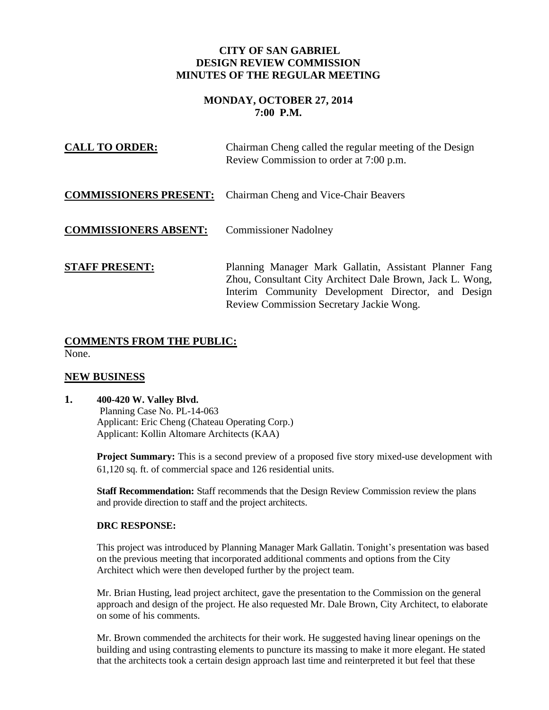### **CITY OF SAN GABRIEL DESIGN REVIEW COMMISSION MINUTES OF THE REGULAR MEETING**

## **MONDAY, OCTOBER 27, 2014 7:00 P.M.**

| <b>CALL TO ORDER:</b>         | Chairman Cheng called the regular meeting of the Design<br>Review Commission to order at 7:00 p.m.                                                                                                                    |
|-------------------------------|-----------------------------------------------------------------------------------------------------------------------------------------------------------------------------------------------------------------------|
| <b>COMMISSIONERS PRESENT:</b> | Chairman Cheng and Vice-Chair Beavers                                                                                                                                                                                 |
| <b>COMMISSIONERS ABSENT:</b>  | <b>Commissioner Nadolney</b>                                                                                                                                                                                          |
| <b>STAFF PRESENT:</b>         | Planning Manager Mark Gallatin, Assistant Planner Fang<br>Zhou, Consultant City Architect Dale Brown, Jack L. Wong,<br>Interim Community Development Director, and Design<br>Review Commission Secretary Jackie Wong. |

# **COMMENTS FROM THE PUBLIC:**

None.

## **NEW BUSINESS**

## **1. 400-420 W. Valley Blvd.**

 Planning Case No. PL-14-063 Applicant: Eric Cheng (Chateau Operating Corp.) Applicant: Kollin Altomare Architects (KAA)

**Project Summary:** This is a second preview of a proposed five story mixed-use development with 61,120 sq. ft. of commercial space and 126 residential units.

**Staff Recommendation:** Staff recommends that the Design Review Commission review the plans and provide direction to staff and the project architects.

#### **DRC RESPONSE:**

This project was introduced by Planning Manager Mark Gallatin. Tonight's presentation was based on the previous meeting that incorporated additional comments and options from the City Architect which were then developed further by the project team.

Mr. Brian Husting, lead project architect, gave the presentation to the Commission on the general approach and design of the project. He also requested Mr. Dale Brown, City Architect, to elaborate on some of his comments.

Mr. Brown commended the architects for their work. He suggested having linear openings on the building and using contrasting elements to puncture its massing to make it more elegant. He stated that the architects took a certain design approach last time and reinterpreted it but feel that these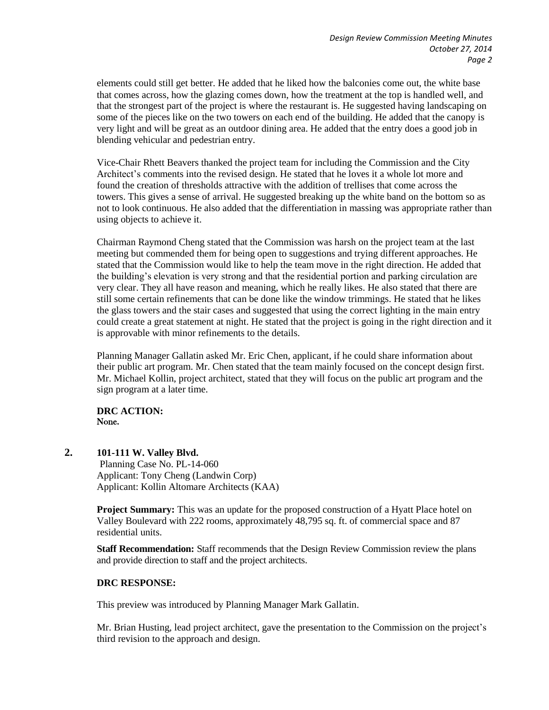elements could still get better. He added that he liked how the balconies come out, the white base that comes across, how the glazing comes down, how the treatment at the top is handled well, and that the strongest part of the project is where the restaurant is. He suggested having landscaping on some of the pieces like on the two towers on each end of the building. He added that the canopy is very light and will be great as an outdoor dining area. He added that the entry does a good job in blending vehicular and pedestrian entry.

Vice-Chair Rhett Beavers thanked the project team for including the Commission and the City Architect's comments into the revised design. He stated that he loves it a whole lot more and found the creation of thresholds attractive with the addition of trellises that come across the towers. This gives a sense of arrival. He suggested breaking up the white band on the bottom so as not to look continuous. He also added that the differentiation in massing was appropriate rather than using objects to achieve it.

Chairman Raymond Cheng stated that the Commission was harsh on the project team at the last meeting but commended them for being open to suggestions and trying different approaches. He stated that the Commission would like to help the team move in the right direction. He added that the building's elevation is very strong and that the residential portion and parking circulation are very clear. They all have reason and meaning, which he really likes. He also stated that there are still some certain refinements that can be done like the window trimmings. He stated that he likes the glass towers and the stair cases and suggested that using the correct lighting in the main entry could create a great statement at night. He stated that the project is going in the right direction and it is approvable with minor refinements to the details.

Planning Manager Gallatin asked Mr. Eric Chen, applicant, if he could share information about their public art program. Mr. Chen stated that the team mainly focused on the concept design first. Mr. Michael Kollin, project architect, stated that they will focus on the public art program and the sign program at a later time.

**DRC ACTION:**  None.

**2. 101-111 W. Valley Blvd.**

 Planning Case No. PL-14-060 Applicant: Tony Cheng (Landwin Corp) Applicant: Kollin Altomare Architects (KAA)

**Project Summary:** This was an update for the proposed construction of a Hyatt Place hotel on Valley Boulevard with 222 rooms, approximately 48,795 sq. ft. of commercial space and 87 residential units.

**Staff Recommendation:** Staff recommends that the Design Review Commission review the plans and provide direction to staff and the project architects.

#### **DRC RESPONSE:**

This preview was introduced by Planning Manager Mark Gallatin.

Mr. Brian Husting, lead project architect, gave the presentation to the Commission on the project's third revision to the approach and design.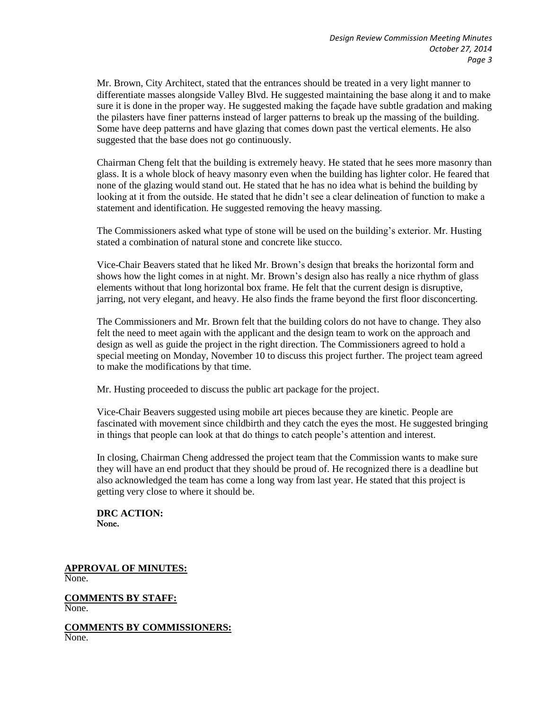Mr. Brown, City Architect, stated that the entrances should be treated in a very light manner to differentiate masses alongside Valley Blvd. He suggested maintaining the base along it and to make sure it is done in the proper way. He suggested making the façade have subtle gradation and making the pilasters have finer patterns instead of larger patterns to break up the massing of the building. Some have deep patterns and have glazing that comes down past the vertical elements. He also suggested that the base does not go continuously.

Chairman Cheng felt that the building is extremely heavy. He stated that he sees more masonry than glass. It is a whole block of heavy masonry even when the building has lighter color. He feared that none of the glazing would stand out. He stated that he has no idea what is behind the building by looking at it from the outside. He stated that he didn't see a clear delineation of function to make a statement and identification. He suggested removing the heavy massing.

The Commissioners asked what type of stone will be used on the building's exterior. Mr. Husting stated a combination of natural stone and concrete like stucco.

Vice-Chair Beavers stated that he liked Mr. Brown's design that breaks the horizontal form and shows how the light comes in at night. Mr. Brown's design also has really a nice rhythm of glass elements without that long horizontal box frame. He felt that the current design is disruptive, jarring, not very elegant, and heavy. He also finds the frame beyond the first floor disconcerting.

The Commissioners and Mr. Brown felt that the building colors do not have to change. They also felt the need to meet again with the applicant and the design team to work on the approach and design as well as guide the project in the right direction. The Commissioners agreed to hold a special meeting on Monday, November 10 to discuss this project further. The project team agreed to make the modifications by that time.

Mr. Husting proceeded to discuss the public art package for the project.

Vice-Chair Beavers suggested using mobile art pieces because they are kinetic. People are fascinated with movement since childbirth and they catch the eyes the most. He suggested bringing in things that people can look at that do things to catch people's attention and interest.

In closing, Chairman Cheng addressed the project team that the Commission wants to make sure they will have an end product that they should be proud of. He recognized there is a deadline but also acknowledged the team has come a long way from last year. He stated that this project is getting very close to where it should be.

**DRC ACTION:**  None.

**APPROVAL OF MINUTES:** None.

**COMMENTS BY STAFF:** None.

**COMMENTS BY COMMISSIONERS:** None.